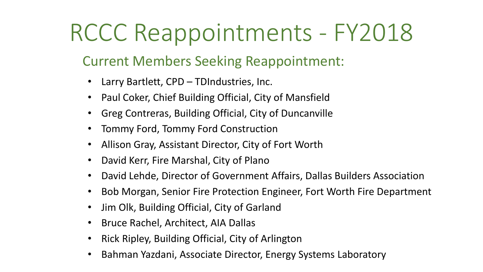## RCCC Reappointments - FY2018

### Current Members Seeking Reappointment:

- Larry Bartlett, CPD TDIndustries, Inc.
- Paul Coker, Chief Building Official, City of Mansfield
- Greg Contreras, Building Official, City of Duncanville
- Tommy Ford, Tommy Ford Construction
- Allison Gray, Assistant Director, City of Fort Worth
- David Kerr, Fire Marshal, City of Plano
- David Lehde, Director of Government Affairs, Dallas Builders Association
- Bob Morgan, Senior Fire Protection Engineer, Fort Worth Fire Department
- Jim Olk, Building Official, City of Garland
- Bruce Rachel, Architect, AIA Dallas
- Rick Ripley, Building Official, City of Arlington
- Bahman Yazdani, Associate Director, Energy Systems Laboratory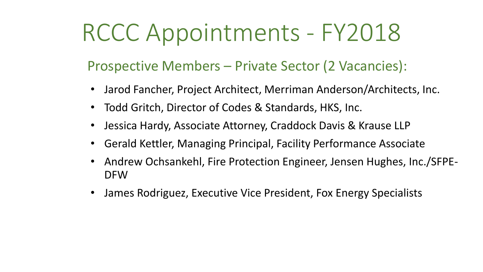# RCCC Appointments - FY2018

#### Prospective Members – Private Sector (2 Vacancies):

- Jarod Fancher, Project Architect, Merriman Anderson/Architects, Inc.
- Todd Gritch, Director of Codes & Standards, HKS, Inc.
- Jessica Hardy, Associate Attorney, Craddock Davis & Krause LLP
- Gerald Kettler, Managing Principal, Facility Performance Associate
- Andrew Ochsankehl, Fire Protection Engineer, Jensen Hughes, Inc./SFPE-DFW
- James Rodriguez, Executive Vice President, Fox Energy Specialists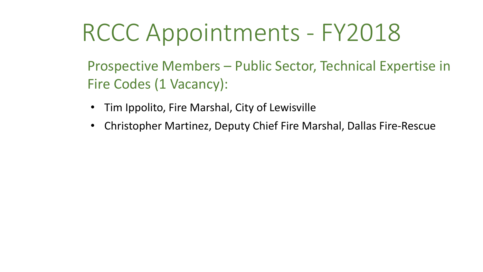# RCCC Appointments - FY2018

Prospective Members – Public Sector, Technical Expertise in Fire Codes (1 Vacancy):

- Tim Ippolito, Fire Marshal, City of Lewisville
- Christopher Martinez, Deputy Chief Fire Marshal, Dallas Fire-Rescue